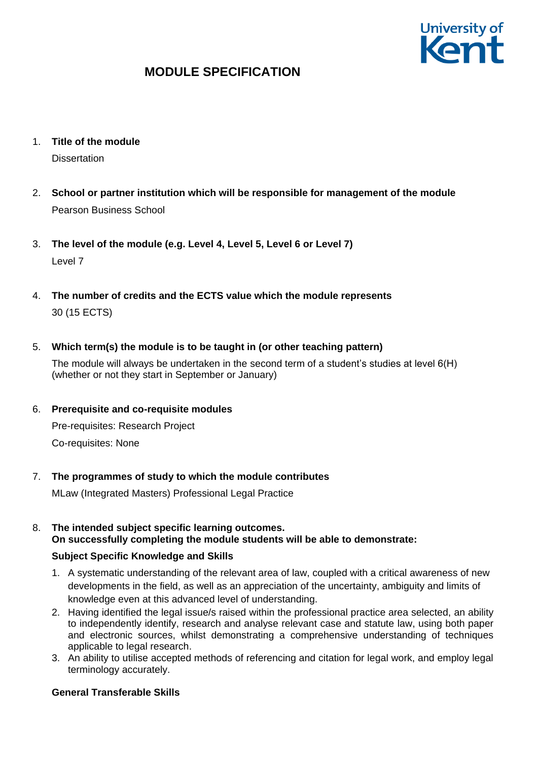

- 1. **Title of the module Dissertation**
- 2. **School or partner institution which will be responsible for management of the module** Pearson Business School
- 3. **The level of the module (e.g. Level 4, Level 5, Level 6 or Level 7)** Level 7
- 4. **The number of credits and the ECTS value which the module represents**  30 (15 ECTS)

## 5. **Which term(s) the module is to be taught in (or other teaching pattern)**

The module will always be undertaken in the second term of a student's studies at level 6(H) (whether or not they start in September or January)

## 6. **Prerequisite and co-requisite modules**

Pre-requisites: Research Project Co-requisites: None

## 7. **The programmes of study to which the module contributes**

MLaw (Integrated Masters) Professional Legal Practice

### 8. **The intended subject specific learning outcomes. On successfully completing the module students will be able to demonstrate:**

## **Subject Specific Knowledge and Skills**

- 1. A systematic understanding of the relevant area of law, coupled with a critical awareness of new developments in the field, as well as an appreciation of the uncertainty, ambiguity and limits of knowledge even at this advanced level of understanding.
- 2. Having identified the legal issue/s raised within the professional practice area selected, an ability to independently identify, research and analyse relevant case and statute law, using both paper and electronic sources, whilst demonstrating a comprehensive understanding of techniques applicable to legal research.
- 3. An ability to utilise accepted methods of referencing and citation for legal work, and employ legal terminology accurately.

## **General Transferable Skills**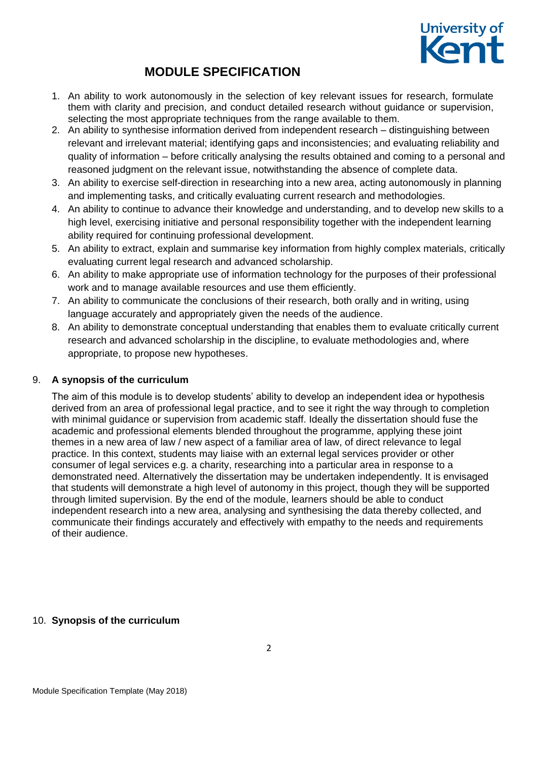

- 1. An ability to work autonomously in the selection of key relevant issues for research, formulate them with clarity and precision, and conduct detailed research without guidance or supervision, selecting the most appropriate techniques from the range available to them.
- 2. An ability to synthesise information derived from independent research distinguishing between relevant and irrelevant material; identifying gaps and inconsistencies; and evaluating reliability and quality of information – before critically analysing the results obtained and coming to a personal and reasoned judgment on the relevant issue, notwithstanding the absence of complete data.
- 3. An ability to exercise self-direction in researching into a new area, acting autonomously in planning and implementing tasks, and critically evaluating current research and methodologies.
- 4. An ability to continue to advance their knowledge and understanding, and to develop new skills to a high level, exercising initiative and personal responsibility together with the independent learning ability required for continuing professional development.
- 5. An ability to extract, explain and summarise key information from highly complex materials, critically evaluating current legal research and advanced scholarship.
- 6. An ability to make appropriate use of information technology for the purposes of their professional work and to manage available resources and use them efficiently.
- 7. An ability to communicate the conclusions of their research, both orally and in writing, using language accurately and appropriately given the needs of the audience.
- 8. An ability to demonstrate conceptual understanding that enables them to evaluate critically current research and advanced scholarship in the discipline, to evaluate methodologies and, where appropriate, to propose new hypotheses.

### 9. **A synopsis of the curriculum**

The aim of this module is to develop students' ability to develop an independent idea or hypothesis derived from an area of professional legal practice, and to see it right the way through to completion with minimal guidance or supervision from academic staff. Ideally the dissertation should fuse the academic and professional elements blended throughout the programme, applying these joint themes in a new area of law / new aspect of a familiar area of law, of direct relevance to legal practice. In this context, students may liaise with an external legal services provider or other consumer of legal services e.g. a charity, researching into a particular area in response to a demonstrated need. Alternatively the dissertation may be undertaken independently. It is envisaged that students will demonstrate a high level of autonomy in this project, though they will be supported through limited supervision. By the end of the module, learners should be able to conduct independent research into a new area, analysing and synthesising the data thereby collected, and communicate their findings accurately and effectively with empathy to the needs and requirements of their audience.

### 10. **Synopsis of the curriculum**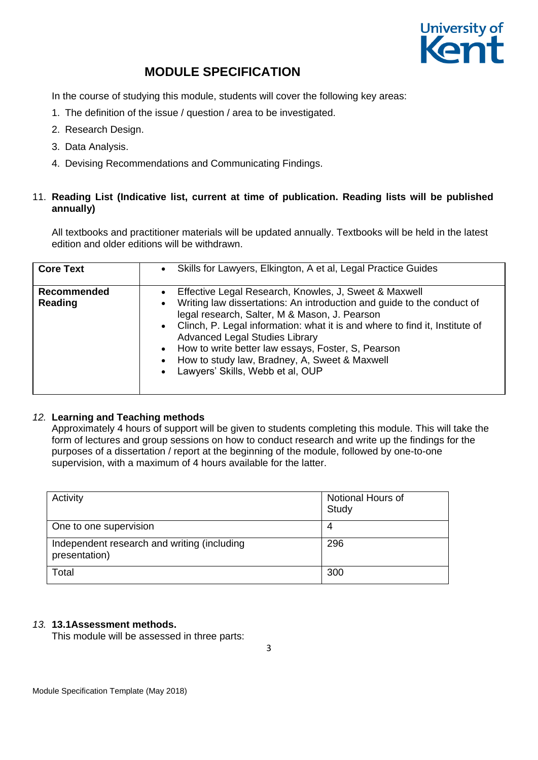

In the course of studying this module, students will cover the following key areas:

- 1. The definition of the issue / question / area to be investigated.
- 2. Research Design.
- 3. Data Analysis.
- 4. Devising Recommendations and Communicating Findings.

### 11. **Reading List (Indicative list, current at time of publication. Reading lists will be published annually)**

All textbooks and practitioner materials will be updated annually. Textbooks will be held in the latest edition and older editions will be withdrawn.

| <b>Core Text</b>              | Skills for Lawyers, Elkington, A et al, Legal Practice Guides<br>$\bullet$                                                                                                                                                                                                                                                                                                                                                                                             |
|-------------------------------|------------------------------------------------------------------------------------------------------------------------------------------------------------------------------------------------------------------------------------------------------------------------------------------------------------------------------------------------------------------------------------------------------------------------------------------------------------------------|
| <b>Recommended</b><br>Reading | Effective Legal Research, Knowles, J, Sweet & Maxwell<br>Writing law dissertations: An introduction and guide to the conduct of<br>$\bullet$<br>legal research, Salter, M & Mason, J. Pearson<br>• Clinch, P. Legal information: what it is and where to find it, Institute of<br><b>Advanced Legal Studies Library</b><br>• How to write better law essays, Foster, S, Pearson<br>How to study law, Bradney, A, Sweet & Maxwell<br>• Lawyers' Skills, Webb et al, OUP |

### *12.* **Learning and Teaching methods**

Approximately 4 hours of support will be given to students completing this module. This will take the form of lectures and group sessions on how to conduct research and write up the findings for the purposes of a dissertation / report at the beginning of the module, followed by one-to-one supervision, with a maximum of 4 hours available for the latter.

| Activity                                                     | Notional Hours of<br>Study |
|--------------------------------------------------------------|----------------------------|
| One to one supervision                                       | 4                          |
| Independent research and writing (including<br>presentation) | 296                        |
| Total                                                        | 300                        |

### *13.* **13.1Assessment methods.**

This module will be assessed in three parts: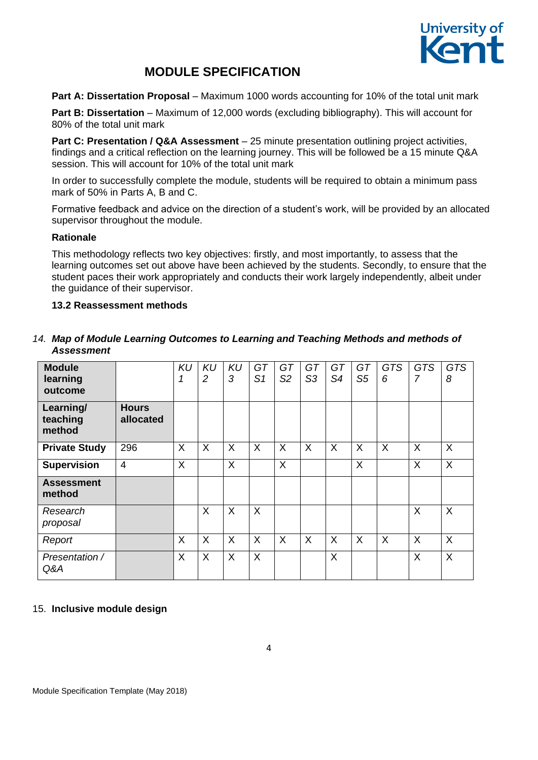

**Part A: Dissertation Proposal** – Maximum 1000 words accounting for 10% of the total unit mark

**Part B: Dissertation** – Maximum of 12,000 words (excluding bibliography). This will account for 80% of the total unit mark

**Part C: Presentation / Q&A Assessment** – 25 minute presentation outlining project activities, findings and a critical reflection on the learning journey. This will be followed be a 15 minute Q&A session. This will account for 10% of the total unit mark

In order to successfully complete the module, students will be required to obtain a minimum pass mark of 50% in Parts A, B and C.

Formative feedback and advice on the direction of a student's work, will be provided by an allocated supervisor throughout the module.

### **Rationale**

This methodology reflects two key objectives: firstly, and most importantly, to assess that the learning outcomes set out above have been achieved by the students. Secondly, to ensure that the student paces their work appropriately and conducts their work largely independently, albeit under the guidance of their supervisor.

### **13.2 Reassessment methods**

### *14. Map of Module Learning Outcomes to Learning and Teaching Methods and methods of Assessment*

| <b>Module</b><br>learning<br>outcome |                           | <b>KU</b> | <b>KU</b><br>2 | <b>KU</b><br>3 | GT<br>S <sub>1</sub> | GT<br>S <sub>2</sub> | GT<br>S3 | GT<br>S4 | GT<br>S <sub>5</sub> | <b>GTS</b><br>6 | <b>GTS</b><br>7 | <b>GTS</b><br>8           |
|--------------------------------------|---------------------------|-----------|----------------|----------------|----------------------|----------------------|----------|----------|----------------------|-----------------|-----------------|---------------------------|
| Learning/<br>teaching<br>method      | <b>Hours</b><br>allocated |           |                |                |                      |                      |          |          |                      |                 |                 |                           |
| <b>Private Study</b>                 | 296                       | X         | $\sf X$        | X              | $\sf X$              | $\sf X$              | X        | $\sf X$  | $\sf X$              | $\sf X$         | X               | $\sf X$                   |
| <b>Supervision</b>                   | $\overline{4}$            | X         |                | X              |                      | X                    |          |          | X                    |                 | X               | $\times$                  |
| <b>Assessment</b><br>method          |                           |           |                |                |                      |                      |          |          |                      |                 |                 |                           |
| Research<br>proposal                 |                           |           | X              | X              | X                    |                      |          |          |                      |                 | X               | $\boldsymbol{\mathsf{X}}$ |
| Report                               |                           | X         | X              | X              | X                    | X                    | X        | $\sf X$  | X                    | $\sf X$         | X               | X                         |
| Presentation /<br>Q&A                |                           | X         | X              | $\sf X$        | $\sf X$              |                      |          | $\sf X$  |                      |                 | X               | $\times$                  |

### 15. **Inclusive module design**